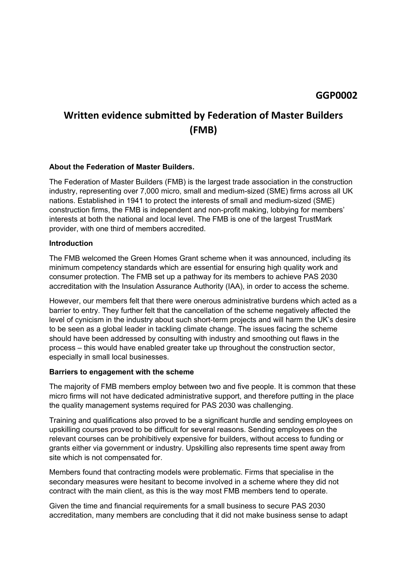## **Written evidence submitted by Federation of Master Builders (FMB)**

#### **About the Federation of Master Builders.**

The Federation of Master Builders (FMB) is the largest trade association in the construction industry, representing over 7,000 micro, small and medium-sized (SME) firms across all UK nations. Established in 1941 to protect the interests of small and medium-sized (SME) construction firms, the FMB is independent and non-profit making, lobbying for members' interests at both the national and local level. The FMB is one of the largest TrustMark provider, with one third of members accredited.

#### **Introduction**

The FMB welcomed the Green Homes Grant scheme when it was announced, including its minimum competency standards which are essential for ensuring high quality work and consumer protection. The FMB set up a pathway for its members to achieve PAS 2030 accreditation with the Insulation Assurance Authority (IAA), in order to access the scheme.

However, our members felt that there were onerous administrative burdens which acted as a barrier to entry. They further felt that the cancellation of the scheme negatively affected the level of cynicism in the industry about such short-term projects and will harm the UK's desire to be seen as a global leader in tackling climate change. The issues facing the scheme should have been addressed by consulting with industry and smoothing out flaws in the process – this would have enabled greater take up throughout the construction sector, especially in small local businesses.

#### **Barriers to engagement with the scheme**

The majority of FMB members employ between two and five people. It is common that these micro firms will not have dedicated administrative support, and therefore putting in the place the quality management systems required for PAS 2030 was challenging.

Training and qualifications also proved to be a significant hurdle and sending employees on upskilling courses proved to be difficult for several reasons. Sending employees on the relevant courses can be prohibitively expensive for builders, without access to funding or grants either via government or industry. Upskilling also represents time spent away from site which is not compensated for.

Members found that contracting models were problematic. Firms that specialise in the secondary measures were hesitant to become involved in a scheme where they did not contract with the main client, as this is the way most FMB members tend to operate.

Given the time and financial requirements for a small business to secure PAS 2030 accreditation, many members are concluding that it did not make business sense to adapt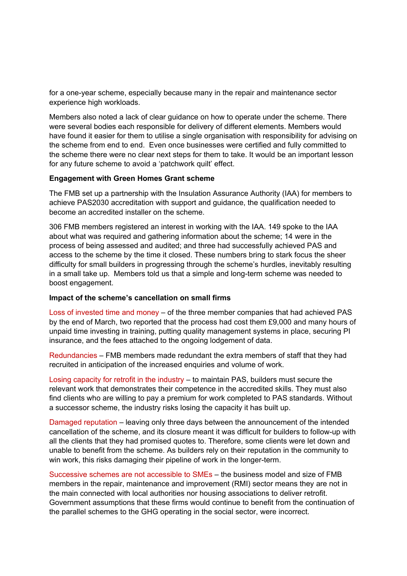for a one-year scheme, especially because many in the repair and maintenance sector experience high workloads.

Members also noted a lack of clear guidance on how to operate under the scheme. There were several bodies each responsible for delivery of different elements. Members would have found it easier for them to utilise a single organisation with responsibility for advising on the scheme from end to end. Even once businesses were certified and fully committed to the scheme there were no clear next steps for them to take. It would be an important lesson for any future scheme to avoid a 'patchwork quilt' effect.

#### **Engagement with Green Homes Grant scheme**

The FMB set up a partnership with the Insulation Assurance Authority (IAA) for members to achieve PAS2030 accreditation with support and guidance, the qualification needed to become an accredited installer on the scheme.

306 FMB members registered an interest in working with the IAA. 149 spoke to the IAA about what was required and gathering information about the scheme; 14 were in the process of being assessed and audited; and three had successfully achieved PAS and access to the scheme by the time it closed. These numbers bring to stark focus the sheer difficulty for small builders in progressing through the scheme's hurdles, inevitably resulting in a small take up. Members told us that a simple and long-term scheme was needed to boost engagement.

#### **Impact of the scheme's cancellation on small firms**

Loss of invested time and money – of the three member companies that had achieved PAS by the end of March, two reported that the process had cost them £9,000 and many hours of unpaid time investing in training, putting quality management systems in place, securing PI insurance, and the fees attached to the ongoing lodgement of data.

Redundancies – FMB members made redundant the extra members of staff that they had recruited in anticipation of the increased enquiries and volume of work.

Losing capacity for retrofit in the industry – to maintain PAS, builders must secure the relevant work that demonstrates their competence in the accredited skills. They must also find clients who are willing to pay a premium for work completed to PAS standards. Without a successor scheme, the industry risks losing the capacity it has built up.

Damaged reputation – leaving only three days between the announcement of the intended cancellation of the scheme, and its closure meant it was difficult for builders to follow-up with all the clients that they had promised quotes to. Therefore, some clients were let down and unable to benefit from the scheme. As builders rely on their reputation in the community to win work, this risks damaging their pipeline of work in the longer-term.

Successive schemes are not accessible to SMEs – the business model and size of FMB members in the repair, maintenance and improvement (RMI) sector means they are not in the main connected with local authorities nor housing associations to deliver retrofit. Government assumptions that these firms would continue to benefit from the continuation of the parallel schemes to the GHG operating in the social sector, were incorrect.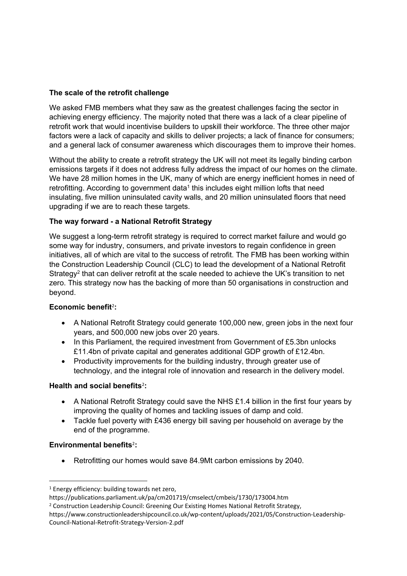## **The scale of the retrofit challenge**

We asked FMB members what they saw as the greatest challenges facing the sector in achieving energy efficiency. The majority noted that there was a lack of a clear pipeline of retrofit work that would incentivise builders to upskill their workforce. The three other major factors were a lack of capacity and skills to deliver projects; a lack of finance for consumers; and a general lack of consumer awareness which discourages them to improve their homes.

Without the ability to create a retrofit strategy the UK will not meet its legally binding carbon emissions targets if it does not address fully address the impact of our homes on the climate. We have 28 million homes in the UK, many of which are energy inefficient homes in need of retrofitting. According to government data<sup>1</sup> this includes eight million lofts that need insulating, five million uninsulated cavity walls, and 20 million uninsulated floors that need upgrading if we are to reach these targets.

## **The way forward - a National Retrofit Strategy**

We suggest a long-term retrofit strategy is required to correct market failure and would go some way for industry, consumers, and private investors to regain confidence in green initiatives, all of which are vital to the success of retrofit. The FMB has been working within the Construction Leadership Council (CLC) to lead the development of a National Retrofit Strategy<sup>2</sup> that can deliver retrofit at the scale needed to achieve the UK's transition to net zero. This strategy now has the backing of more than 50 organisations in construction and beyond.

## <span id="page-2-0"></span>**Economic benefit**[2](#page-2-0) **:**

- A National Retrofit Strategy could generate 100,000 new, green jobs in the next four years, and 500,000 new jobs over 20 years.
- In this Parliament, the required investment from Government of £5.3bn unlocks £11.4bn of private capital and generates additional GDP growth of £12.4bn.
- Productivity improvements for the building industry, through greater use of technology, and the integral role of innovation and research in the delivery model.

#### **Health and social benefits**[2](#page-2-0) **:**

- A National Retrofit Strategy could save the NHS £1.4 billion in the first four years by improving the quality of homes and tackling issues of damp and cold.
- Tackle fuel poverty with £436 energy bill saving per household on average by the end of the programme.

#### **Environmental benefits**[2](#page-2-0) **:**

Retrofitting our homes would save 84.9Mt carbon emissions by 2040.

<sup>1</sup> Energy efficiency: building towards net zero,

https://publications.parliament.uk/pa/cm201719/cmselect/cmbeis/1730/173004.htm

<sup>&</sup>lt;sup>2</sup> Construction Leadership Council: Greening Our Existing Homes National Retrofit Strategy,

https://www.constructionleadershipcouncil.co.uk/wp-content/uploads/2021/05/Construction-Leadership-Council-National-Retrofit-Strategy-Version-2.pdf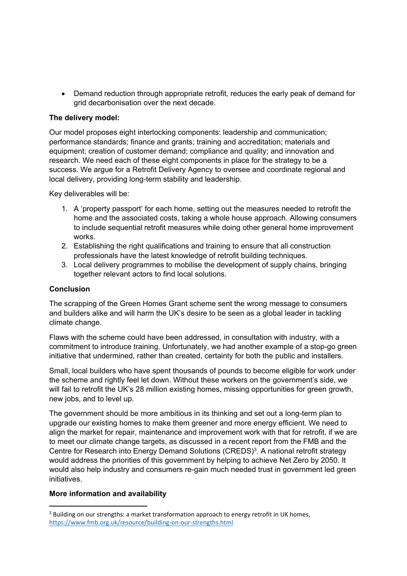Demand reduction through appropriate retrofit, reduces the early peak of demand for grid decarbonisation over the next decade.

### **The delivery model:**

Our model proposes eight interlocking components: leadership and communication; performance standards; finance and grants; training and accreditation; materials and equipment; creation of customer demand; compliance and quality; and innovation and research. We need each of these eight components in place for the strategy to be a success. We argue for a Retrofit Delivery Agency to oversee and coordinate regional and local delivery, providing long-term stability and leadership.

Key deliverables will be:

- 1. A 'property passport' for each home, setting out the measures needed to retrofit the home and the associated costs, taking a whole house approach. Allowing consumers to include sequential retrofit measures while doing other general home improvement works.
- 2. Establishing the right qualifications and training to ensure that all construction professionals have the latest knowledge of retrofit building techniques.
- 3. Local delivery programmes to mobilise the development of supply chains, bringing together relevant actors to find local solutions.

#### **Conclusion**

The scrapping of the Green Homes Grant scheme sent the wrong message to consumers and builders alike and will harm the UK's desire to be seen as a global leader in tackling climate change.

Flaws with the scheme could have been addressed, in consultation with industry, with a commitment to introduce training. Unfortunately, we had another example of a stop-go green initiative that undermined, rather than created, certainty for both the public and installers.

Small, local builders who have spent thousands of pounds to become eligible for work under the scheme and rightly feel let down. Without these workers on the government's side, we will fail to retrofit the UK's 28 million existing homes, missing opportunities for green growth, new jobs, and to level up.

The government should be more ambitious in its thinking and set out a long-term plan to upgrade our existing homes to make them greener and more energy efficient. We need to align the market for repair, maintenance and improvement work with that for retrofit, if we are to meet our climate change targets, as discussed in a recent report from the FMB and the Centre for Research into Energy Demand Solutions (CREDS)<sup>3</sup>. A national retrofit strategy would address the priorities of this government by helping to achieve Net Zero by 2050. It would also help industry and consumers re-gain much needed trust in government led green initiatives.

#### **More information and availability**

<sup>&</sup>lt;sup>3</sup> Building on our strengths: a market transformation approach to energy retrofit in UK homes, <https://www.fmb.org.uk/resource/building-on-our-strengths.html>